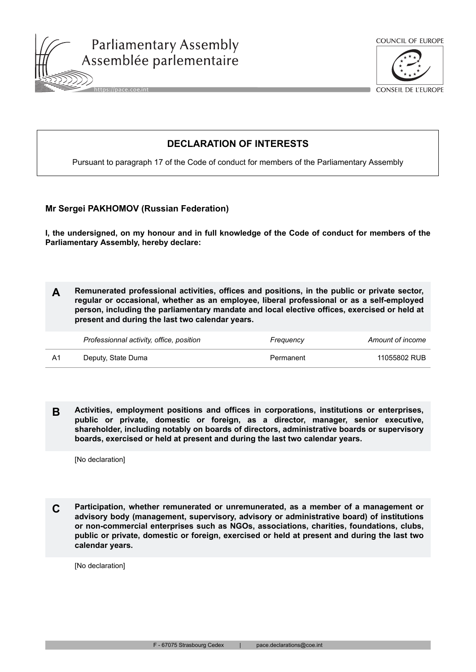



**CONSEIL DE L'EUROPE** 

## **DECLARATION OF INTERESTS**

Pursuant to paragraph 17 of the Code of conduct for members of the Parliamentary Assembly

## **Mr Sergei PAKHOMOV (Russian Federation)**

**I, the undersigned, on my honour and in full knowledge of the Code of conduct for members of the Parliamentary Assembly, hereby declare:**

**A Remunerated professional activities, offices and positions, in the public or private sector, regular or occasional, whether as an employee, liberal professional or as a self-employed person, including the parliamentary mandate and local elective offices, exercised or held at present and during the last two calendar years.**

| Professionnal activity, office, position | Freauency | Amount of income |
|------------------------------------------|-----------|------------------|
| Deputy, State Duma                       | Permanent | 11055802 RUB     |

**B Activities, employment positions and offices in corporations, institutions or enterprises, public or private, domestic or foreign, as a director, manager, senior executive, shareholder, including notably on boards of directors, administrative boards or supervisory boards, exercised or held at present and during the last two calendar years.**

[No declaration]

**C Participation, whether remunerated or unremunerated, as a member of a management or advisory body (management, supervisory, advisory or administrative board) of institutions or non-commercial enterprises such as NGOs, associations, charities, foundations, clubs, public or private, domestic or foreign, exercised or held at present and during the last two calendar years.**

[No declaration]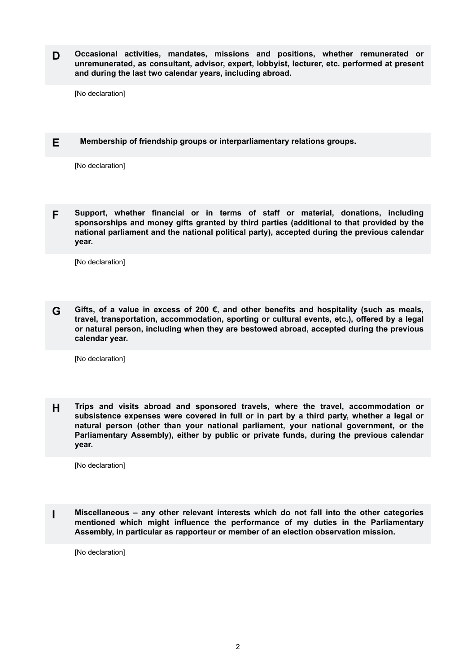**D Occasional activities, mandates, missions and positions, whether remunerated or unremunerated, as consultant, advisor, expert, lobbyist, lecturer, etc. performed at present and during the last two calendar years, including abroad.**

[No declaration]

**E Membership of friendship groups or interparliamentary relations groups.**

[No declaration]

**F Support, whether financial or in terms of staff or material, donations, including sponsorships and money gifts granted by third parties (additional to that provided by the national parliament and the national political party), accepted during the previous calendar year.**

[No declaration]

**G Gifts, of a value in excess of 200 €, and other benefits and hospitality (such as meals, travel, transportation, accommodation, sporting or cultural events, etc.), offered by a legal or natural person, including when they are bestowed abroad, accepted during the previous calendar year.**

[No declaration]

**H Trips and visits abroad and sponsored travels, where the travel, accommodation or subsistence expenses were covered in full or in part by a third party, whether a legal or natural person (other than your national parliament, your national government, or the Parliamentary Assembly), either by public or private funds, during the previous calendar year.**

[No declaration]

**I Miscellaneous – any other relevant interests which do not fall into the other categories mentioned which might influence the performance of my duties in the Parliamentary Assembly, in particular as rapporteur or member of an election observation mission.**

[No declaration]